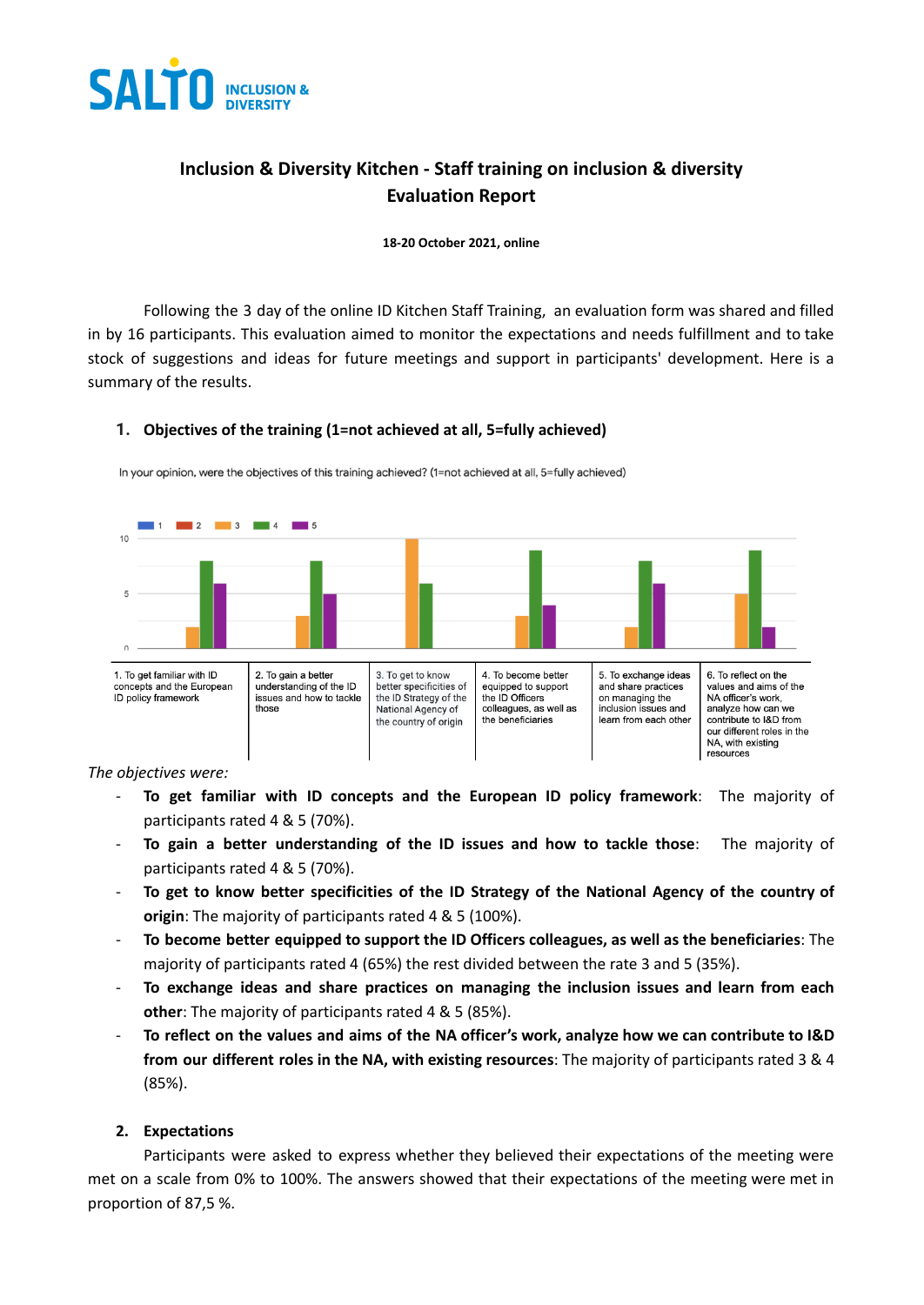

# **Inclusion & Diversity Kitchen - Staff training on inclusion & diversity Evaluation Report**

**18-20 October 2021, online**

Following the 3 day of the online ID Kitchen Staff Training, an evaluation form was shared and filled in by 16 participants. This evaluation aimed to monitor the expectations and needs fulfillment and to take stock of suggestions and ideas for future meetings and support in participants' development. Here is a summary of the results.

### **1. Objectives of the training (1=not achieved at all, 5=fully achieved)**



In your opinion, were the objectives of this training achieved? (1=not achieved at all, 5=fully achieved)

*The objectives were:*

- **To get familiar with ID concepts and the European ID policy framework**: The majority of participants rated 4 & 5 (70%).
- **To gain a better understanding of the ID issues and how to tackle those**: The majority of participants rated 4 & 5 (70%).
- **To get to know better specificities of the ID Strategy of the National Agency of the country of origin**: The majority of participants rated 4 & 5 (100%).
- **To become better equipped to support the ID Officers colleagues, as well as the beneficiaries**: The majority of participants rated 4 (65%) the rest divided between the rate 3 and 5 (35%).
- **To exchange ideas and share practices on managing the inclusion issues and learn from each other**: The majority of participants rated 4 & 5 (85%).
- To reflect on the values and aims of the NA officer's work, analyze how we can contribute to I&D **from our different roles in the NA, with existing resources**: The majority of participants rated 3 & 4 (85%).

#### **2. Expectations**

Participants were asked to express whether they believed their expectations of the meeting were met on a scale from 0% to 100%. The answers showed that their expectations of the meeting were met in proportion of 87,5 %.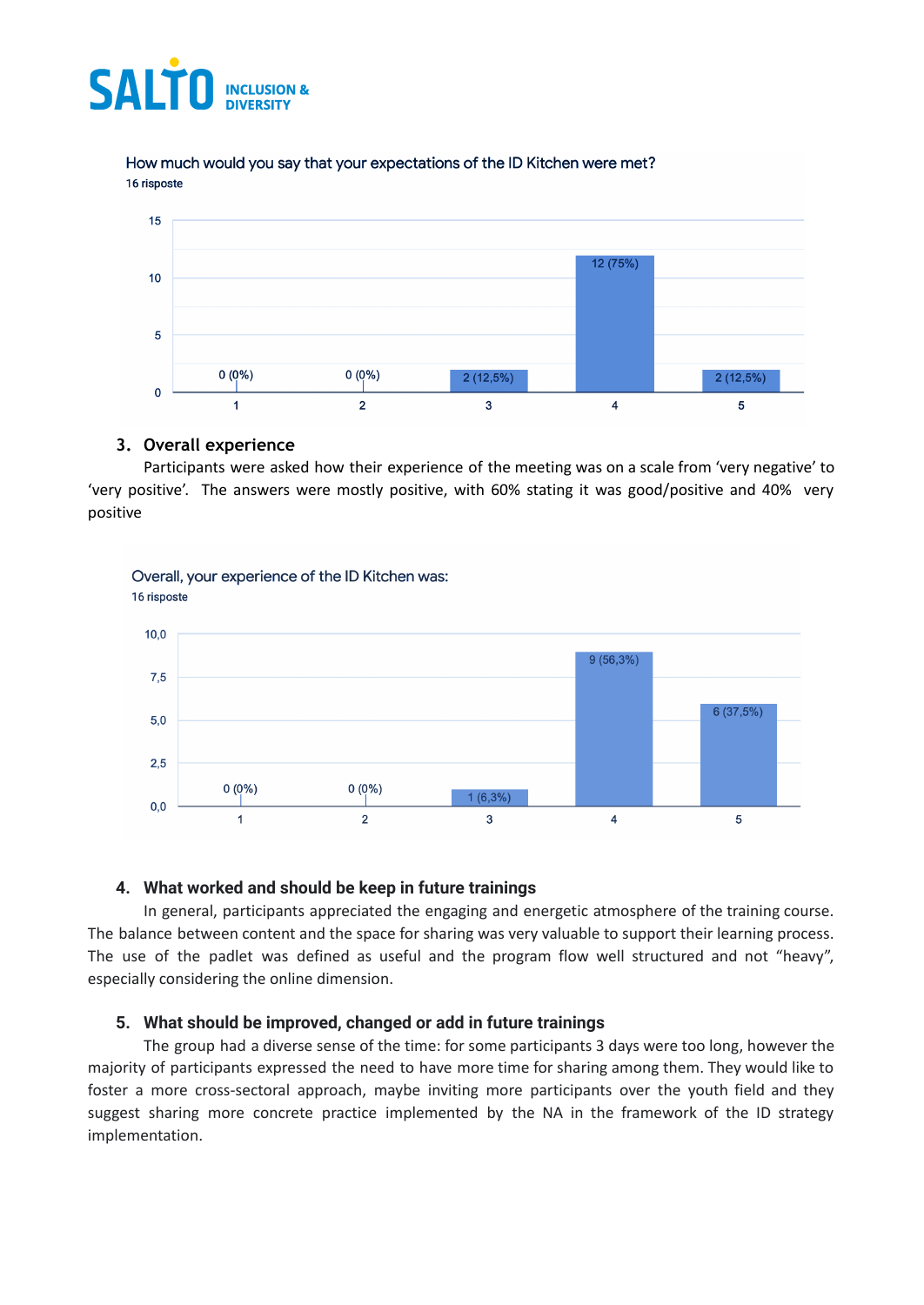

How much would you say that your expectations of the ID Kitchen were met? 16 risposte



#### **3. Overall experience**

Participants were asked how their experience of the meeting was on a scale from 'very negative' to 'very positive'. The answers were mostly positive, with 60% stating it was good/positive and 40% very positive



## **4. What worked and should be keep in future trainings**

In general, participants appreciated the engaging and energetic atmosphere of the training course. The balance between content and the space for sharing was very valuable to support their learning process. The use of the padlet was defined as useful and the program flow well structured and not "heavy", especially considering the online dimension.

#### **5. What should be improved, changed or add in future trainings**

The group had a diverse sense of the time: for some participants 3 days were too long, however the majority of participants expressed the need to have more time for sharing among them. They would like to foster a more cross-sectoral approach, maybe inviting more participants over the youth field and they suggest sharing more concrete practice implemented by the NA in the framework of the ID strategy implementation.